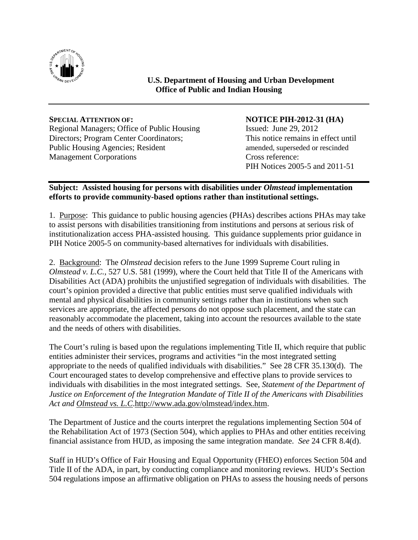

**U.S. Department of Housing and Urban Development Office of Public and Indian Housing**

## **SPECIAL ATTENTION OF: NOTICE PIH-2012-31 (HA)** Regional Managers; Office of Public Housing Issued: June 29, 2012 Directors; Program Center Coordinators; This notice remains in effect until Public Housing Agencies: Resident amended, superseded or rescinded Management Corporations Cross reference:

PIH Notices 2005-5 and 2011-51

## **Subject: Assisted housing for persons with disabilities under** *Olmstead* **implementation efforts to provide community-based options rather than institutional settings.**

1. Purpose: This guidance to public housing agencies (PHAs) describes actions PHAs may take to assist persons with disabilities transitioning from institutions and persons at serious risk of institutionalization access PHA-assisted housing. This guidance supplements prior guidance in PIH Notice 2005-5 on community-based alternatives for individuals with disabilities.

2. Background: The *Olmstead* decision refers to the June 1999 Supreme Court ruling in *Olmstead v. L.C.,* 527 U.S. 581 (1999), where the Court held that Title II of the Americans with Disabilities Act (ADA) prohibits the unjustified segregation of individuals with disabilities. The court's opinion provided a directive that public entities must serve qualified individuals with mental and physical disabilities in community settings rather than in institutions when such services are appropriate, the affected persons do not oppose such placement, and the state can reasonably accommodate the placement, taking into account the resources available to the state and the needs of others with disabilities.

The Court's ruling is based upon the regulations implementing Title II, which require that public entities administer their services, programs and activities "in the most integrated setting appropriate to the needs of qualified individuals with disabilities." See 28 CFR 35.130(d). The Court encouraged states to develop comprehensive and effective plans to provide services to individuals with disabilities in the most integrated settings. See, *Statement of the Department of Justice on Enforcement of the Integration Mandate of Title II of the Americans with Disabilities Act and Olmstead vs. L.C*.<http://www.ada.gov/olmstead/index.htm>.

The Department of Justice and the courts interpret the regulations implementing Section 504 of the Rehabilitation Act of 1973 (Section 504), which applies to PHAs and other entities receiving financial assistance from HUD, as imposing the same integration mandate. *See* 24 CFR 8.4(d).

Staff in HUD's Office of Fair Housing and Equal Opportunity (FHEO) enforces Section 504 and Title II of the ADA, in part, by conducting compliance and monitoring reviews. HUD's Section 504 regulations impose an affirmative obligation on PHAs to assess the housing needs of persons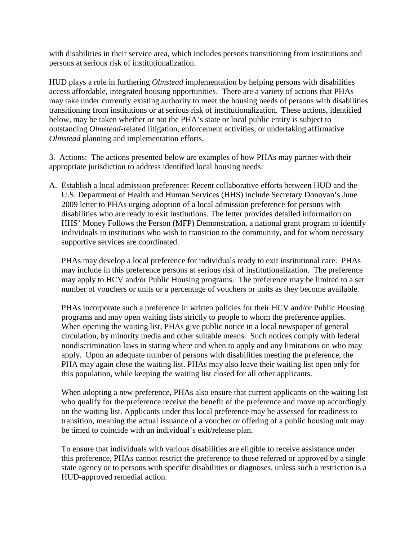with disabilities in their service area, which includes persons transitioning from institutions and persons at serious risk of institutionalization.

HUD plays a role in furthering *Olmstead* implementation by helping persons with disabilities access affordable, integrated housing opportunities. There are a variety of actions that PHAs may take under currently existing authority to meet the housing needs of persons with disabilities transitioning from institutions or at serious risk of institutionalization. These actions, identified below, may be taken whether or not the PHA's state or local public entity is subject to outstanding *Olmstead*-related litigation, enforcement activities, or undertaking affirmative *Olmstead* planning and implementation efforts.

3. Actions: The actions presented below are examples of how PHAs may partner with their appropriate jurisdiction to address identified local housing needs:

A. Establish a local admission preference: Recent collaborative efforts between HUD and the U.S. Department of Health and Human Services (HHS) include Secretary Donovan's June 2009 letter to PHAs urging adoption of a local admission preference for persons with disabilities who are ready to exit institutions. The letter provides detailed information on HHS' Money Follows the Person (MFP) Demonstration, a national grant program to identify individuals in institutions who wish to transition to the community, and for whom necessary supportive services are coordinated.

PHAs may develop a local preference for individuals ready to exit institutional care. PHAs may include in this preference persons at serious risk of institutionalization. The preference may apply to HCV and/or Public Housing programs. The preference may be limited to a set number of vouchers or units or a percentage of vouchers or units as they become available.

PHAs incorporate such a preference in written policies for their HCV and/or Public Housing programs and may open waiting lists strictly to people to whom the preference applies. When opening the waiting list, PHAs give public notice in a local newspaper of general circulation, by minority media and other suitable means. Such notices comply with federal nondiscrimination laws in stating where and when to apply and any limitations on who may apply. Upon an adequate number of persons with disabilities meeting the preference, the PHA may again close the waiting list. PHAs may also leave their waiting list open only for this population, while keeping the waiting list closed for all other applicants.

When adopting a new preference, PHAs also ensure that current applicants on the waiting list who qualify for the preference receive the benefit of the preference and move up accordingly on the waiting list. Applicants under this local preference may be assessed for readiness to transition, meaning the actual issuance of a voucher or offering of a public housing unit may be timed to coincide with an individual's exit/release plan.

To ensure that individuals with various disabilities are eligible to receive assistance under this preference, PHAs cannot restrict the preference to those referred or approved by a single state agency or to persons with specific disabilities or diagnoses, unless such a restriction is a HUD-approved remedial action.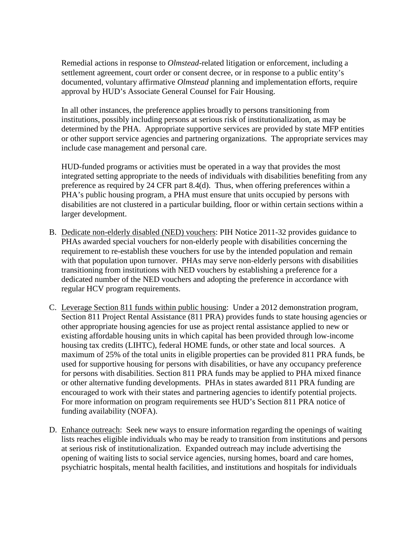Remedial actions in response to *Olmstead*-related litigation or enforcement, including a settlement agreement, court order or consent decree, or in response to a public entity's documented, voluntary affirmative *Olmstead* planning and implementation efforts, require approval by HUD's Associate General Counsel for Fair Housing.

In all other instances, the preference applies broadly to persons transitioning from institutions, possibly including persons at serious risk of institutionalization, as may be determined by the PHA. Appropriate supportive services are provided by state MFP entities or other support service agencies and partnering organizations. The appropriate services may include case management and personal care.

HUD-funded programs or activities must be operated in a way that provides the most integrated setting appropriate to the needs of individuals with disabilities benefiting from any preference as required by 24 CFR part 8.4(d). Thus, when offering preferences within a PHA's public housing program, a PHA must ensure that units occupied by persons with disabilities are not clustered in a particular building, floor or within certain sections within a larger development.

- B. Dedicate non-elderly disabled (NED) vouchers: PIH Notice 2011-32 provides guidance to PHAs awarded special vouchers for non-elderly people with disabilities concerning the requirement to re-establish these vouchers for use by the intended population and remain with that population upon turnover. PHAs may serve non-elderly persons with disabilities transitioning from institutions with NED vouchers by establishing a preference for a dedicated number of the NED vouchers and adopting the preference in accordance with regular HCV program requirements.
- C. Leverage Section 811 funds within public housing: Under a 2012 demonstration program, Section 811 Project Rental Assistance (811 PRA) provides funds to state housing agencies or other appropriate housing agencies for use as project rental assistance applied to new or existing affordable housing units in which capital has been provided through low-income housing tax credits (LIHTC), federal HOME funds, or other state and local sources. A maximum of 25% of the total units in eligible properties can be provided 811 PRA funds, be used for supportive housing for persons with disabilities, or have any occupancy preference for persons with disabilities. Section 811 PRA funds may be applied to PHA mixed finance or other alternative funding developments. PHAs in states awarded 811 PRA funding are encouraged to work with their states and partnering agencies to identify potential projects. For more information on program requirements see HUD's Section 811 PRA notice of funding availability (NOFA).
- D. Enhance outreach: Seek new ways to ensure information regarding the openings of waiting lists reaches eligible individuals who may be ready to transition from institutions and persons at serious risk of institutionalization. Expanded outreach may include advertising the opening of waiting lists to social service agencies, nursing homes, board and care homes, psychiatric hospitals, mental health facilities, and institutions and hospitals for individuals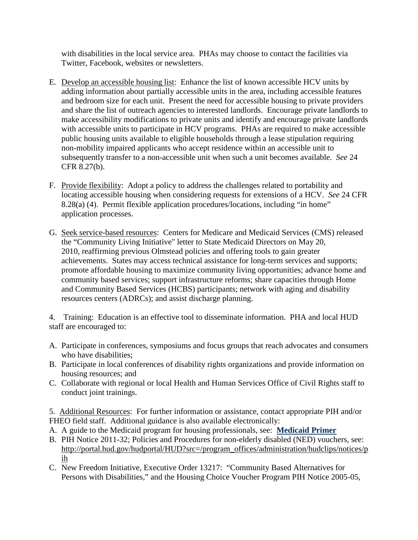with disabilities in the local service area. PHAs may choose to contact the facilities via Twitter, Facebook, websites or newsletters.

- E. Develop an accessible housing list: Enhance the list of known accessible HCV units by adding information about partially accessible units in the area, including accessible features and bedroom size for each unit. Present the need for accessible housing to private providers and share the list of outreach agencies to interested landlords. Encourage private landlords to make accessibility modifications to private units and identify and encourage private landlords with accessible units to participate in HCV programs. PHAs are required to make accessible public housing units available to eligible households through a lease stipulation requiring non-mobility impaired applicants who accept residence within an accessible unit to subsequently transfer to a non-accessible unit when such a unit becomes available. *See* 24 CFR 8.27(b).
- F. Provide flexibility: Adopt a policy to address the challenges related to portability and locating accessible housing when considering requests for extensions of a HCV. *See* 24 CFR 8.28(a) (4). Permit flexible application procedures/locations, including "in home" application processes.
- G. Seek service-based resources: Centers for Medicare and Medicaid Services (CMS) released the "Community Living Initiative" letter to State Medicaid Directors on May 20, 2010, reaffirming previous Olmstead policies and offering tools to gain greater achievements. States may access technical assistance for long-term services and supports; promote affordable housing to maximize community living opportunities; advance home and community based services; support infrastructure reforms; share capacities through Home and Community Based Services (HCBS) participants; network with aging and disability resources centers (ADRCs); and assist discharge planning.

4. Training: Education is an effective tool to disseminate information. PHA and local HUD staff are encouraged to:

- A. Participate in conferences, symposiums and focus groups that reach advocates and consumers who have disabilities;
- B. Participate in local conferences of disability rights organizations and provide information on housing resources; and
- C. Collaborate with regional or local Health and Human Services Office of Civil Rights staff to conduct joint trainings.
- 5. Additional Resources: For further information or assistance, contact appropriate PIH and/or FHEO field staff. Additional guidance is also available electronically:
- A. A guide to the Medicaid program for housing professionals, see: **[Medicaid Primer](http://www.hud.gov/offices/pih/programs/hcv/pwd/medicaid-primer.pdf)**
- B. PIH Notice 2011-32; Policies and Procedures for non-elderly disabled (NED) vouchers, see: [http://portal.hud.gov/hudportal/HUD?src=/program\\_offices/administration/hudclips/notices/p](http://portal.hud.gov/hudportal/HUD?src=/program_offices/administration/hudclips/notices/pih) [ih](http://portal.hud.gov/hudportal/HUD?src=/program_offices/administration/hudclips/notices/pih)
- C. New Freedom Initiative, Executive Order 13217: "Community Based Alternatives for Persons with Disabilities," and the Housing Choice Voucher Program PIH Notice 2005-05,